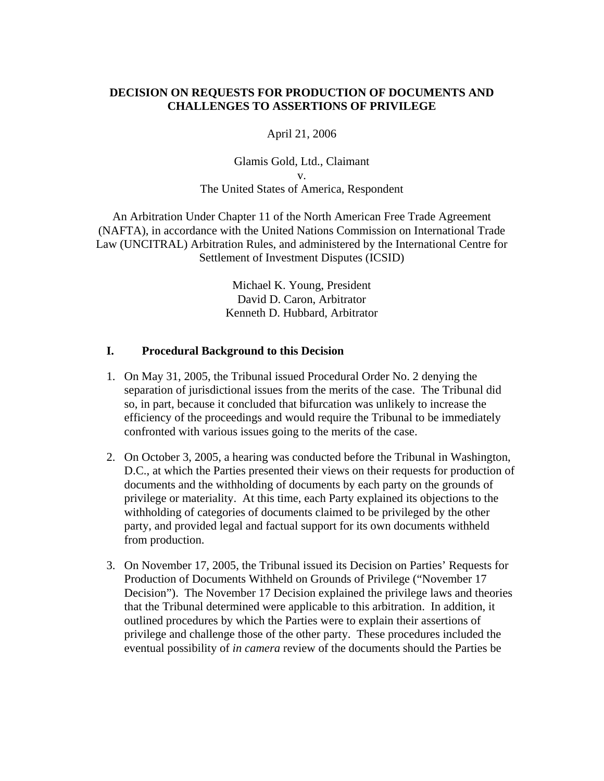# **DECISION ON REQUESTS FOR PRODUCTION OF DOCUMENTS AND CHALLENGES TO ASSERTIONS OF PRIVILEGE**

April 21, 2006

Glamis Gold, Ltd., Claimant v. The United States of America, Respondent

An Arbitration Under Chapter 11 of the North American Free Trade Agreement (NAFTA), in accordance with the United Nations Commission on International Trade Law (UNCITRAL) Arbitration Rules, and administered by the International Centre for Settlement of Investment Disputes (ICSID)

> Michael K. Young, President David D. Caron, Arbitrator Kenneth D. Hubbard, Arbitrator

#### **I. Procedural Background to this Decision**

- 1. On May 31, 2005, the Tribunal issued Procedural Order No. 2 denying the separation of jurisdictional issues from the merits of the case. The Tribunal did so, in part, because it concluded that bifurcation was unlikely to increase the efficiency of the proceedings and would require the Tribunal to be immediately confronted with various issues going to the merits of the case.
- 2. On October 3, 2005, a hearing was conducted before the Tribunal in Washington, D.C., at which the Parties presented their views on their requests for production of documents and the withholding of documents by each party on the grounds of privilege or materiality. At this time, each Party explained its objections to the withholding of categories of documents claimed to be privileged by the other party, and provided legal and factual support for its own documents withheld from production.
- 3. On November 17, 2005, the Tribunal issued its Decision on Parties' Requests for Production of Documents Withheld on Grounds of Privilege ("November 17 Decision"). The November 17 Decision explained the privilege laws and theories that the Tribunal determined were applicable to this arbitration. In addition, it outlined procedures by which the Parties were to explain their assertions of privilege and challenge those of the other party. These procedures included the eventual possibility of *in camera* review of the documents should the Parties be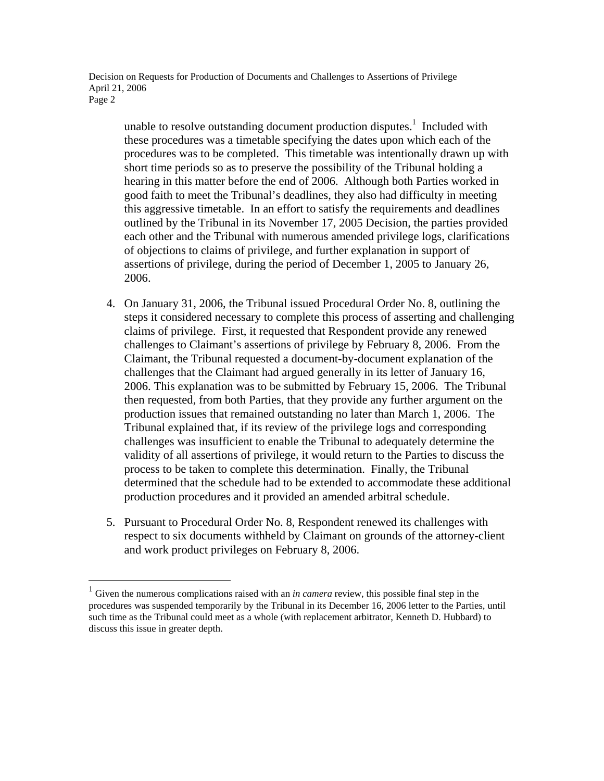unable to resolve outstanding document production disputes.<sup>1</sup> Included with these procedures was a timetable specifying the dates upon which each of the procedures was to be completed. This timetable was intentionally drawn up with short time periods so as to preserve the possibility of the Tribunal holding a hearing in this matter before the end of 2006. Although both Parties worked in good faith to meet the Tribunal's deadlines, they also had difficulty in meeting this aggressive timetable. In an effort to satisfy the requirements and deadlines outlined by the Tribunal in its November 17, 2005 Decision, the parties provided each other and the Tribunal with numerous amended privilege logs, clarifications of objections to claims of privilege, and further explanation in support of assertions of privilege, during the period of December 1, 2005 to January 26, 2006.

- 4. On January 31, 2006, the Tribunal issued Procedural Order No. 8, outlining the steps it considered necessary to complete this process of asserting and challenging claims of privilege. First, it requested that Respondent provide any renewed challenges to Claimant's assertions of privilege by February 8, 2006. From the Claimant, the Tribunal requested a document-by-document explanation of the challenges that the Claimant had argued generally in its letter of January 16, 2006. This explanation was to be submitted by February 15, 2006. The Tribunal then requested, from both Parties, that they provide any further argument on the production issues that remained outstanding no later than March 1, 2006. The Tribunal explained that, if its review of the privilege logs and corresponding challenges was insufficient to enable the Tribunal to adequately determine the validity of all assertions of privilege, it would return to the Parties to discuss the process to be taken to complete this determination. Finally, the Tribunal determined that the schedule had to be extended to accommodate these additional production procedures and it provided an amended arbitral schedule.
- 5. Pursuant to Procedural Order No. 8, Respondent renewed its challenges with respect to six documents withheld by Claimant on grounds of the attorney-client and work product privileges on February 8, 2006.

<sup>&</sup>lt;sup>1</sup> Given the numerous complications raised with an *in camera* review, this possible final step in the procedures was suspended temporarily by the Tribunal in its December 16, 2006 letter to the Parties, until such time as the Tribunal could meet as a whole (with replacement arbitrator, Kenneth D. Hubbard) to discuss this issue in greater depth.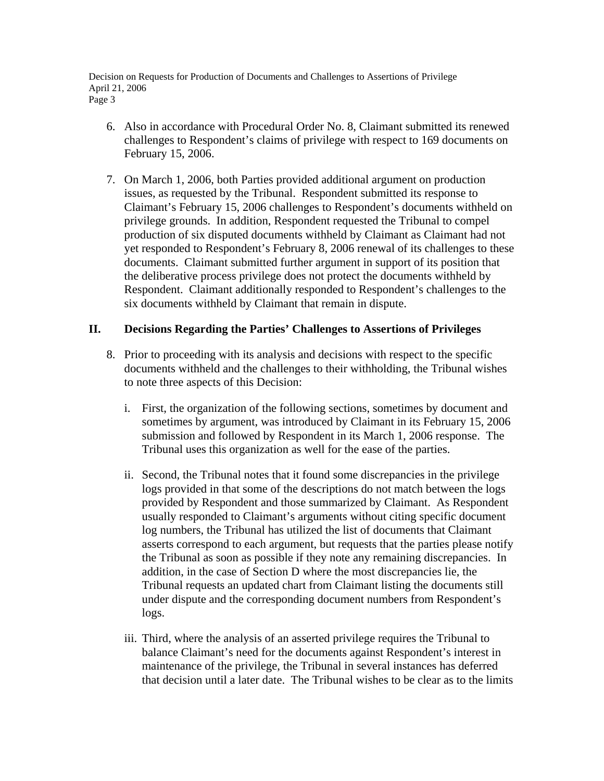- 6. Also in accordance with Procedural Order No. 8, Claimant submitted its renewed challenges to Respondent's claims of privilege with respect to 169 documents on February 15, 2006.
- 7. On March 1, 2006, both Parties provided additional argument on production issues, as requested by the Tribunal. Respondent submitted its response to Claimant's February 15, 2006 challenges to Respondent's documents withheld on privilege grounds. In addition, Respondent requested the Tribunal to compel production of six disputed documents withheld by Claimant as Claimant had not yet responded to Respondent's February 8, 2006 renewal of its challenges to these documents. Claimant submitted further argument in support of its position that the deliberative process privilege does not protect the documents withheld by Respondent. Claimant additionally responded to Respondent's challenges to the six documents withheld by Claimant that remain in dispute.

## **II. Decisions Regarding the Parties' Challenges to Assertions of Privileges**

- 8. Prior to proceeding with its analysis and decisions with respect to the specific documents withheld and the challenges to their withholding, the Tribunal wishes to note three aspects of this Decision:
	- i. First, the organization of the following sections, sometimes by document and sometimes by argument, was introduced by Claimant in its February 15, 2006 submission and followed by Respondent in its March 1, 2006 response. The Tribunal uses this organization as well for the ease of the parties.
	- ii. Second, the Tribunal notes that it found some discrepancies in the privilege logs provided in that some of the descriptions do not match between the logs provided by Respondent and those summarized by Claimant. As Respondent usually responded to Claimant's arguments without citing specific document log numbers, the Tribunal has utilized the list of documents that Claimant asserts correspond to each argument, but requests that the parties please notify the Tribunal as soon as possible if they note any remaining discrepancies. In addition, in the case of Section D where the most discrepancies lie, the Tribunal requests an updated chart from Claimant listing the documents still under dispute and the corresponding document numbers from Respondent's logs.
	- iii. Third, where the analysis of an asserted privilege requires the Tribunal to balance Claimant's need for the documents against Respondent's interest in maintenance of the privilege, the Tribunal in several instances has deferred that decision until a later date. The Tribunal wishes to be clear as to the limits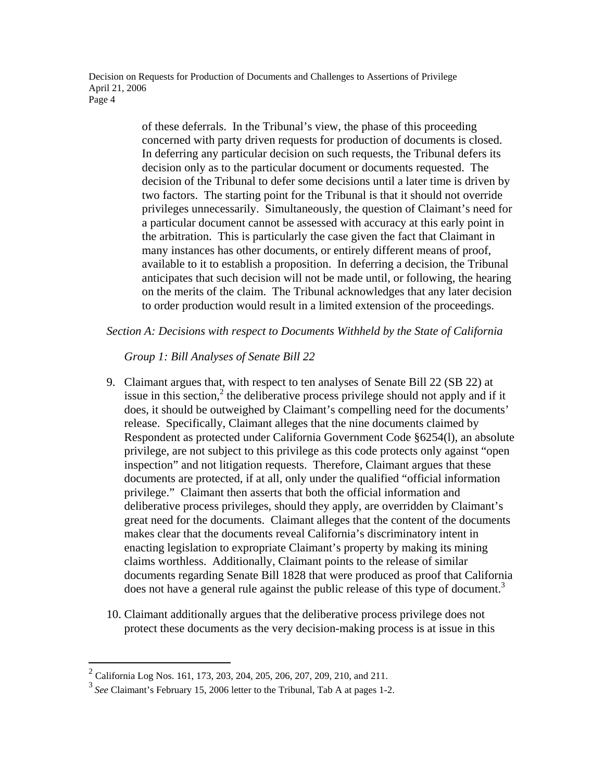> of these deferrals. In the Tribunal's view, the phase of this proceeding concerned with party driven requests for production of documents is closed. In deferring any particular decision on such requests, the Tribunal defers its decision only as to the particular document or documents requested. The decision of the Tribunal to defer some decisions until a later time is driven by two factors. The starting point for the Tribunal is that it should not override privileges unnecessarily. Simultaneously, the question of Claimant's need for a particular document cannot be assessed with accuracy at this early point in the arbitration. This is particularly the case given the fact that Claimant in many instances has other documents, or entirely different means of proof, available to it to establish a proposition. In deferring a decision, the Tribunal anticipates that such decision will not be made until, or following, the hearing on the merits of the claim. The Tribunal acknowledges that any later decision to order production would result in a limited extension of the proceedings.

*Section A: Decisions with respect to Documents Withheld by the State of California* 

 *Group 1: Bill Analyses of Senate Bill 22* 

- 9. Claimant argues that, with respect to ten analyses of Senate Bill 22 (SB 22) at issue in this section,<sup>2</sup> the deliberative process privilege should not apply and if it does, it should be outweighed by Claimant's compelling need for the documents' release. Specifically, Claimant alleges that the nine documents claimed by Respondent as protected under California Government Code §6254(l), an absolute privilege, are not subject to this privilege as this code protects only against "open inspection" and not litigation requests. Therefore, Claimant argues that these documents are protected, if at all, only under the qualified "official information privilege." Claimant then asserts that both the official information and deliberative process privileges, should they apply, are overridden by Claimant's great need for the documents. Claimant alleges that the content of the documents makes clear that the documents reveal California's discriminatory intent in enacting legislation to expropriate Claimant's property by making its mining claims worthless. Additionally, Claimant points to the release of similar documents regarding Senate Bill 1828 that were produced as proof that California does not have a general rule against the public release of this type of document.<sup>3</sup>
- 10. Claimant additionally argues that the deliberative process privilege does not protect these documents as the very decision-making process is at issue in this

 2 California Log Nos. 161, 173, 203, 204, 205, 206, 207, 209, 210, and 211.

<sup>3</sup>*See* Claimant's February 15, 2006 letter to the Tribunal, Tab A at pages 1-2.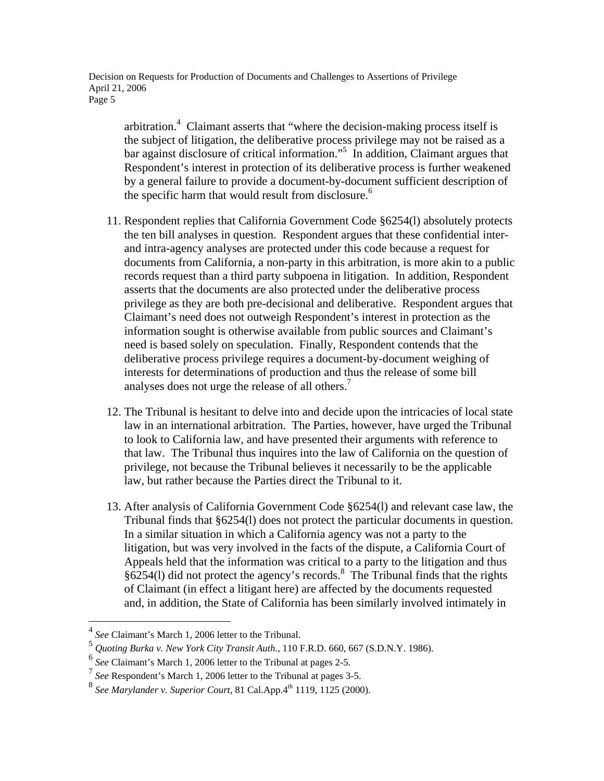arbitration.<sup>4</sup> Claimant asserts that "where the decision-making process itself is the subject of litigation, the deliberative process privilege may not be raised as a bar against disclosure of critical information."5 In addition, Claimant argues that Respondent's interest in protection of its deliberative process is further weakened by a general failure to provide a document-by-document sufficient description of the specific harm that would result from disclosure.<sup>6</sup>

- 11. Respondent replies that California Government Code §6254(l) absolutely protects the ten bill analyses in question. Respondent argues that these confidential interand intra-agency analyses are protected under this code because a request for documents from California, a non-party in this arbitration, is more akin to a public records request than a third party subpoena in litigation. In addition, Respondent asserts that the documents are also protected under the deliberative process privilege as they are both pre-decisional and deliberative. Respondent argues that Claimant's need does not outweigh Respondent's interest in protection as the information sought is otherwise available from public sources and Claimant's need is based solely on speculation. Finally, Respondent contends that the deliberative process privilege requires a document-by-document weighing of interests for determinations of production and thus the release of some bill analyses does not urge the release of all others.<sup>7</sup>
- 12. The Tribunal is hesitant to delve into and decide upon the intricacies of local state law in an international arbitration. The Parties, however, have urged the Tribunal to look to California law, and have presented their arguments with reference to that law. The Tribunal thus inquires into the law of California on the question of privilege, not because the Tribunal believes it necessarily to be the applicable law, but rather because the Parties direct the Tribunal to it.
- 13. After analysis of California Government Code §6254(l) and relevant case law, the Tribunal finds that §6254(l) does not protect the particular documents in question. In a similar situation in which a California agency was not a party to the litigation, but was very involved in the facts of the dispute, a California Court of Appeals held that the information was critical to a party to the litigation and thus  $§6254(1)$  did not protect the agency's records.<sup>8</sup> The Tribunal finds that the rights of Claimant (in effect a litigant here) are affected by the documents requested and, in addition, the State of California has been similarly involved intimately in

<u>.</u>

See Claimant's March 1, 2006 letter to the Tribunal.

<sup>5</sup> *Quoting Burka v. New York City Transit Auth.,* 110 F.R.D. 660, 667 (S.D.N.Y. 1986).

<sup>6</sup> *See* Claimant's March 1, 2006 letter to the Tribunal at pages 2-5.

<sup>&</sup>lt;sup>7</sup> See Respondent's March 1, 2006 letter to the Tribunal at pages 3-5.

<sup>&</sup>lt;sup>8</sup> See Marylander v. Superior Court, 81 Cal.App.4<sup>th</sup> 1119, 1125 (2000).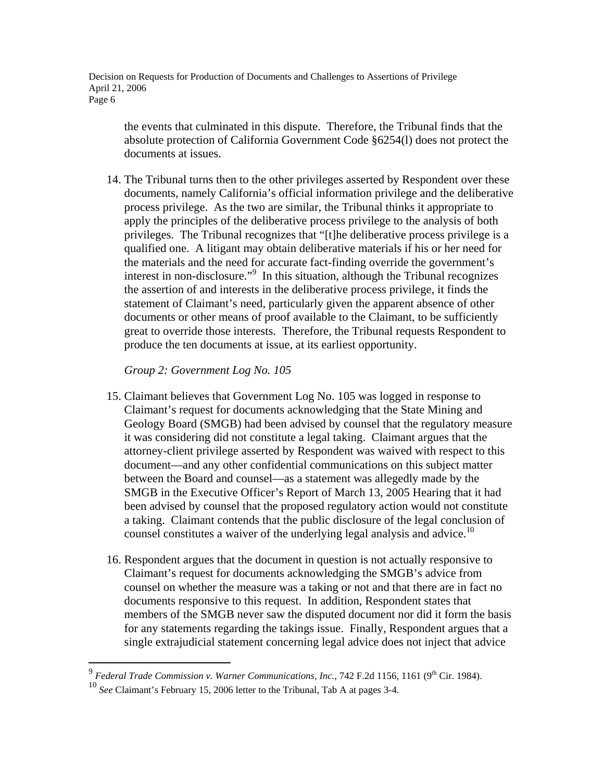the events that culminated in this dispute. Therefore, the Tribunal finds that the absolute protection of California Government Code §6254(l) does not protect the documents at issues.

14. The Tribunal turns then to the other privileges asserted by Respondent over these documents, namely California's official information privilege and the deliberative process privilege. As the two are similar, the Tribunal thinks it appropriate to apply the principles of the deliberative process privilege to the analysis of both privileges. The Tribunal recognizes that "[t]he deliberative process privilege is a qualified one. A litigant may obtain deliberative materials if his or her need for the materials and the need for accurate fact-finding override the government's interest in non-disclosure."<sup>9</sup> In this situation, although the Tribunal recognizes the assertion of and interests in the deliberative process privilege, it finds the statement of Claimant's need, particularly given the apparent absence of other documents or other means of proof available to the Claimant, to be sufficiently great to override those interests. Therefore, the Tribunal requests Respondent to produce the ten documents at issue, at its earliest opportunity.

*Group 2: Government Log No. 105* 

- 15. Claimant believes that Government Log No. 105 was logged in response to Claimant's request for documents acknowledging that the State Mining and Geology Board (SMGB) had been advised by counsel that the regulatory measure it was considering did not constitute a legal taking. Claimant argues that the attorney-client privilege asserted by Respondent was waived with respect to this document—and any other confidential communications on this subject matter between the Board and counsel—as a statement was allegedly made by the SMGB in the Executive Officer's Report of March 13, 2005 Hearing that it had been advised by counsel that the proposed regulatory action would not constitute a taking. Claimant contends that the public disclosure of the legal conclusion of counsel constitutes a waiver of the underlying legal analysis and advice.<sup>10</sup>
- 16. Respondent argues that the document in question is not actually responsive to Claimant's request for documents acknowledging the SMGB's advice from counsel on whether the measure was a taking or not and that there are in fact no documents responsive to this request. In addition, Respondent states that members of the SMGB never saw the disputed document nor did it form the basis for any statements regarding the takings issue. Finally, Respondent argues that a single extrajudicial statement concerning legal advice does not inject that advice

<sup>&</sup>lt;sup>9</sup> Federal Trade Commission v. Warner Communications, Inc., 742 F.2d 1156, 1161 (9<sup>th</sup> Cir. 1984).

<sup>10</sup> *See* Claimant's February 15, 2006 letter to the Tribunal, Tab A at pages 3-4.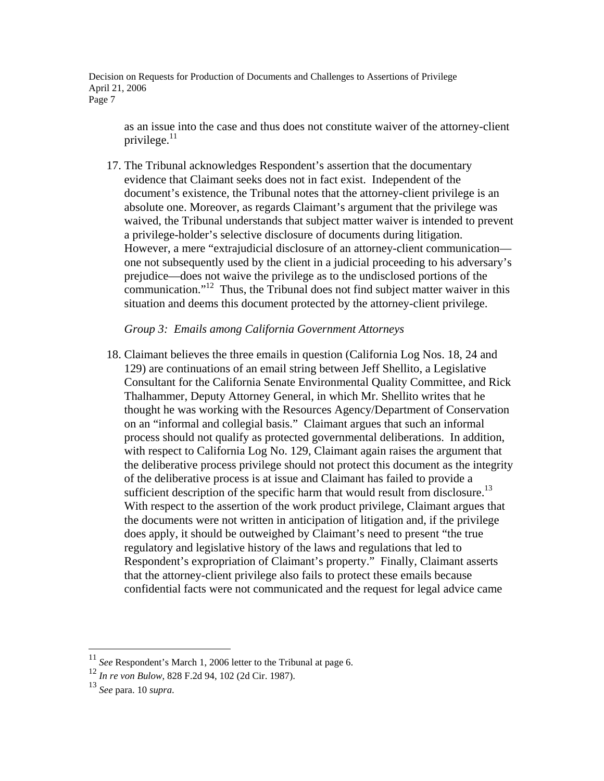as an issue into the case and thus does not constitute waiver of the attorney-client privilege. $11$ 

17. The Tribunal acknowledges Respondent's assertion that the documentary evidence that Claimant seeks does not in fact exist. Independent of the document's existence, the Tribunal notes that the attorney-client privilege is an absolute one. Moreover, as regards Claimant's argument that the privilege was waived, the Tribunal understands that subject matter waiver is intended to prevent a privilege-holder's selective disclosure of documents during litigation. However, a mere "extrajudicial disclosure of an attorney-client communication one not subsequently used by the client in a judicial proceeding to his adversary's prejudice—does not waive the privilege as to the undisclosed portions of the communication."12 Thus, the Tribunal does not find subject matter waiver in this situation and deems this document protected by the attorney-client privilege.

#### *Group 3: Emails among California Government Attorneys*

18. Claimant believes the three emails in question (California Log Nos. 18, 24 and 129) are continuations of an email string between Jeff Shellito, a Legislative Consultant for the California Senate Environmental Quality Committee, and Rick Thalhammer, Deputy Attorney General, in which Mr. Shellito writes that he thought he was working with the Resources Agency/Department of Conservation on an "informal and collegial basis." Claimant argues that such an informal process should not qualify as protected governmental deliberations. In addition, with respect to California Log No. 129, Claimant again raises the argument that the deliberative process privilege should not protect this document as the integrity of the deliberative process is at issue and Claimant has failed to provide a sufficient description of the specific harm that would result from disclosure.<sup>13</sup> With respect to the assertion of the work product privilege, Claimant argues that the documents were not written in anticipation of litigation and, if the privilege does apply, it should be outweighed by Claimant's need to present "the true regulatory and legislative history of the laws and regulations that led to Respondent's expropriation of Claimant's property." Finally, Claimant asserts that the attorney-client privilege also fails to protect these emails because confidential facts were not communicated and the request for legal advice came

1

<sup>11</sup> *See* Respondent's March 1, 2006 letter to the Tribunal at page 6.

<sup>12</sup> *In re von Bulow*, 828 F.2d 94, 102 (2d Cir. 1987).

<sup>13</sup> *See* para. 10 *supra*.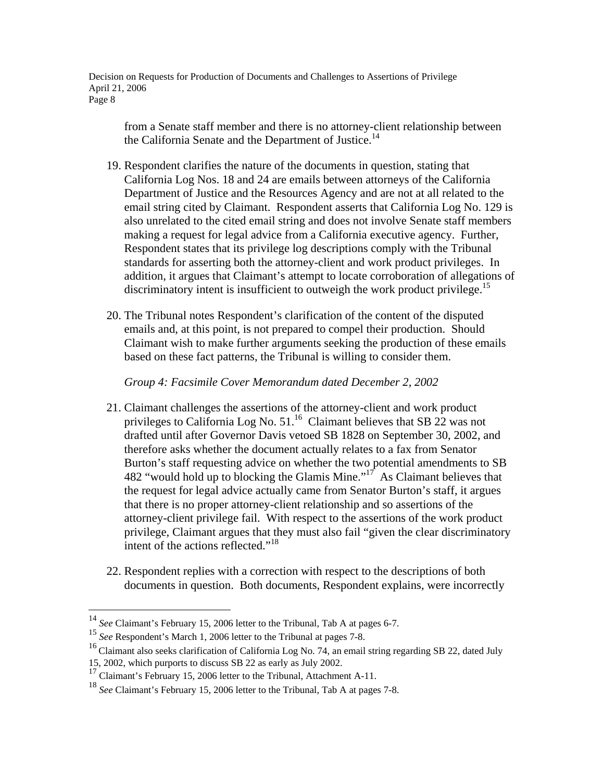from a Senate staff member and there is no attorney-client relationship between the California Senate and the Department of Justice.<sup>14</sup>

- 19. Respondent clarifies the nature of the documents in question, stating that California Log Nos. 18 and 24 are emails between attorneys of the California Department of Justice and the Resources Agency and are not at all related to the email string cited by Claimant. Respondent asserts that California Log No. 129 is also unrelated to the cited email string and does not involve Senate staff members making a request for legal advice from a California executive agency. Further, Respondent states that its privilege log descriptions comply with the Tribunal standards for asserting both the attorney-client and work product privileges. In addition, it argues that Claimant's attempt to locate corroboration of allegations of discriminatory intent is insufficient to outweigh the work product privilege.<sup>15</sup>
- 20. The Tribunal notes Respondent's clarification of the content of the disputed emails and, at this point, is not prepared to compel their production. Should Claimant wish to make further arguments seeking the production of these emails based on these fact patterns, the Tribunal is willing to consider them.

*Group 4: Facsimile Cover Memorandum dated December 2, 2002* 

- 21. Claimant challenges the assertions of the attorney-client and work product privileges to California Log No. 51.<sup>16</sup> Claimant believes that SB 22 was not drafted until after Governor Davis vetoed SB 1828 on September 30, 2002, and therefore asks whether the document actually relates to a fax from Senator Burton's staff requesting advice on whether the two potential amendments to SB 482 "would hold up to blocking the Glamis Mine."<sup>17</sup> As Claimant believes that the request for legal advice actually came from Senator Burton's staff, it argues that there is no proper attorney-client relationship and so assertions of the attorney-client privilege fail. With respect to the assertions of the work product privilege, Claimant argues that they must also fail "given the clear discriminatory intent of the actions reflected."<sup>18</sup>
- 22. Respondent replies with a correction with respect to the descriptions of both documents in question. Both documents, Respondent explains, were incorrectly

<sup>14</sup> *See* Claimant's February 15, 2006 letter to the Tribunal, Tab A at pages 6-7.

<sup>15</sup> *See* Respondent's March 1, 2006 letter to the Tribunal at pages 7-8.

<sup>&</sup>lt;sup>16</sup> Claimant also seeks clarification of California Log No. 74, an email string regarding SB 22, dated July 15, 2002, which purports to discuss SB 22 as early as July 2002.

<sup>&</sup>lt;sup>17</sup> Claimant's February 15, 2006 letter to the Tribunal, Attachment A-11.

<sup>18</sup> *See* Claimant's February 15, 2006 letter to the Tribunal, Tab A at pages 7-8.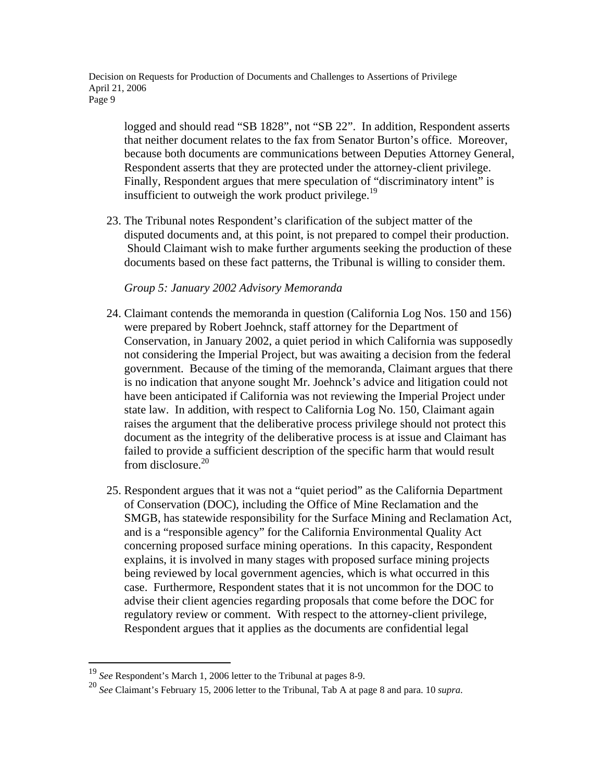logged and should read "SB 1828", not "SB 22". In addition, Respondent asserts that neither document relates to the fax from Senator Burton's office. Moreover, because both documents are communications between Deputies Attorney General, Respondent asserts that they are protected under the attorney-client privilege. Finally, Respondent argues that mere speculation of "discriminatory intent" is insufficient to outweigh the work product privilege. $^{19}$ 

23. The Tribunal notes Respondent's clarification of the subject matter of the disputed documents and, at this point, is not prepared to compel their production. Should Claimant wish to make further arguments seeking the production of these documents based on these fact patterns, the Tribunal is willing to consider them.

## *Group 5: January 2002 Advisory Memoranda*

- 24. Claimant contends the memoranda in question (California Log Nos. 150 and 156) were prepared by Robert Joehnck, staff attorney for the Department of Conservation, in January 2002, a quiet period in which California was supposedly not considering the Imperial Project, but was awaiting a decision from the federal government. Because of the timing of the memoranda, Claimant argues that there is no indication that anyone sought Mr. Joehnck's advice and litigation could not have been anticipated if California was not reviewing the Imperial Project under state law. In addition, with respect to California Log No. 150, Claimant again raises the argument that the deliberative process privilege should not protect this document as the integrity of the deliberative process is at issue and Claimant has failed to provide a sufficient description of the specific harm that would result from disclosure. $20$
- 25. Respondent argues that it was not a "quiet period" as the California Department of Conservation (DOC), including the Office of Mine Reclamation and the SMGB, has statewide responsibility for the Surface Mining and Reclamation Act, and is a "responsible agency" for the California Environmental Quality Act concerning proposed surface mining operations. In this capacity, Respondent explains, it is involved in many stages with proposed surface mining projects being reviewed by local government agencies, which is what occurred in this case. Furthermore, Respondent states that it is not uncommon for the DOC to advise their client agencies regarding proposals that come before the DOC for regulatory review or comment. With respect to the attorney-client privilege, Respondent argues that it applies as the documents are confidential legal

<u>.</u>

<sup>19</sup> *See* Respondent's March 1, 2006 letter to the Tribunal at pages 8-9.

<sup>20</sup> *See* Claimant's February 15, 2006 letter to the Tribunal, Tab A at page 8 and para. 10 *supra*.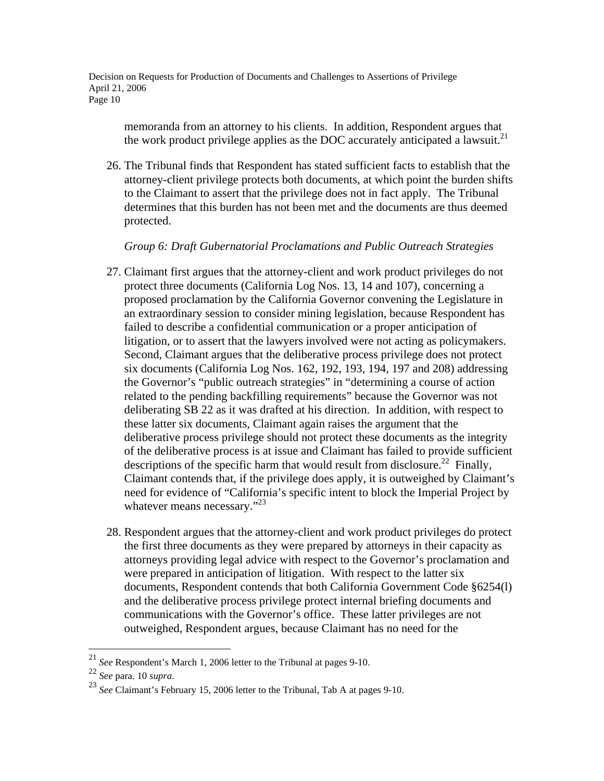memoranda from an attorney to his clients. In addition, Respondent argues that the work product privilege applies as the DOC accurately anticipated a lawsuit. $^{21}$ 

26. The Tribunal finds that Respondent has stated sufficient facts to establish that the attorney-client privilege protects both documents, at which point the burden shifts to the Claimant to assert that the privilege does not in fact apply. The Tribunal determines that this burden has not been met and the documents are thus deemed protected.

## *Group 6: Draft Gubernatorial Proclamations and Public Outreach Strategies*

- 27. Claimant first argues that the attorney-client and work product privileges do not protect three documents (California Log Nos. 13, 14 and 107), concerning a proposed proclamation by the California Governor convening the Legislature in an extraordinary session to consider mining legislation, because Respondent has failed to describe a confidential communication or a proper anticipation of litigation, or to assert that the lawyers involved were not acting as policymakers. Second, Claimant argues that the deliberative process privilege does not protect six documents (California Log Nos. 162, 192, 193, 194, 197 and 208) addressing the Governor's "public outreach strategies" in "determining a course of action related to the pending backfilling requirements" because the Governor was not deliberating SB 22 as it was drafted at his direction. In addition, with respect to these latter six documents, Claimant again raises the argument that the deliberative process privilege should not protect these documents as the integrity of the deliberative process is at issue and Claimant has failed to provide sufficient descriptions of the specific harm that would result from disclosure.<sup>22</sup> Finally, Claimant contends that, if the privilege does apply, it is outweighed by Claimant's need for evidence of "California's specific intent to block the Imperial Project by whatever means necessary."<sup>23</sup>
- 28. Respondent argues that the attorney-client and work product privileges do protect the first three documents as they were prepared by attorneys in their capacity as attorneys providing legal advice with respect to the Governor's proclamation and were prepared in anticipation of litigation. With respect to the latter six documents, Respondent contends that both California Government Code §6254(l) and the deliberative process privilege protect internal briefing documents and communications with the Governor's office. These latter privileges are not outweighed, Respondent argues, because Claimant has no need for the

<sup>21</sup> *See* Respondent's March 1, 2006 letter to the Tribunal at pages 9-10.

<sup>22</sup> *See* para. 10 *supra*. 23 *See* Claimant's February 15, 2006 letter to the Tribunal, Tab A at pages 9-10.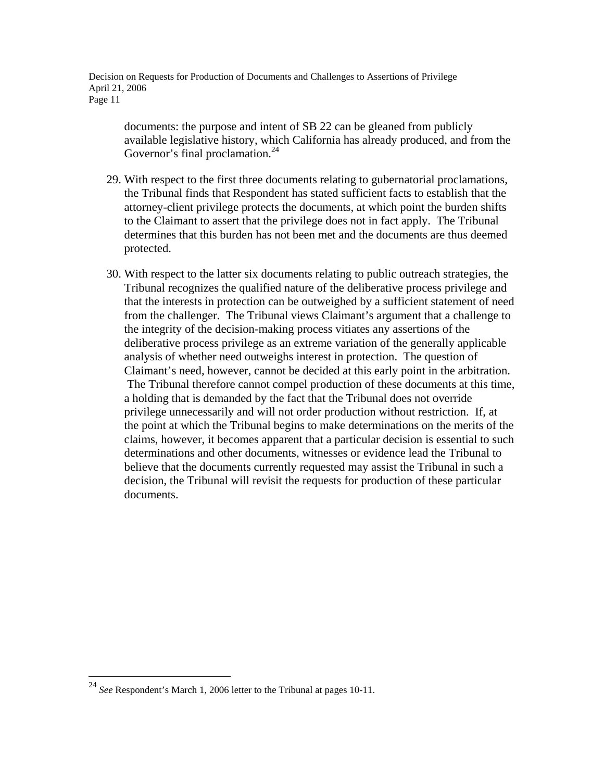documents: the purpose and intent of SB 22 can be gleaned from publicly available legislative history, which California has already produced, and from the Governor's final proclamation.<sup>24</sup>

- 29. With respect to the first three documents relating to gubernatorial proclamations, the Tribunal finds that Respondent has stated sufficient facts to establish that the attorney-client privilege protects the documents, at which point the burden shifts to the Claimant to assert that the privilege does not in fact apply. The Tribunal determines that this burden has not been met and the documents are thus deemed protected.
- 30. With respect to the latter six documents relating to public outreach strategies, the Tribunal recognizes the qualified nature of the deliberative process privilege and that the interests in protection can be outweighed by a sufficient statement of need from the challenger. The Tribunal views Claimant's argument that a challenge to the integrity of the decision-making process vitiates any assertions of the deliberative process privilege as an extreme variation of the generally applicable analysis of whether need outweighs interest in protection. The question of Claimant's need, however, cannot be decided at this early point in the arbitration. The Tribunal therefore cannot compel production of these documents at this time, a holding that is demanded by the fact that the Tribunal does not override privilege unnecessarily and will not order production without restriction. If, at the point at which the Tribunal begins to make determinations on the merits of the claims, however, it becomes apparent that a particular decision is essential to such determinations and other documents, witnesses or evidence lead the Tribunal to believe that the documents currently requested may assist the Tribunal in such a decision, the Tribunal will revisit the requests for production of these particular documents.

<sup>24</sup> *See* Respondent's March 1, 2006 letter to the Tribunal at pages 10-11.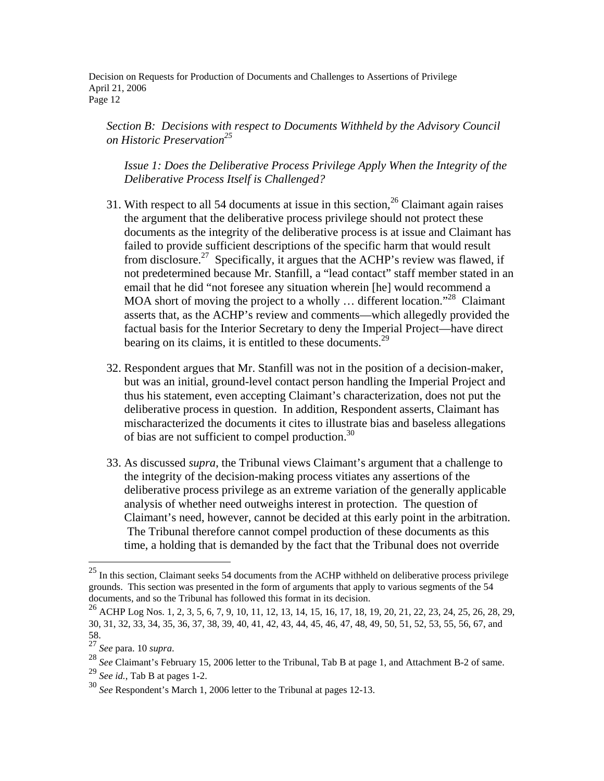*Section B: Decisions with respect to Documents Withheld by the Advisory Council on Historic Preservation<sup>25</sup>*

*Issue 1: Does the Deliberative Process Privilege Apply When the Integrity of the Deliberative Process Itself is Challenged?* 

- 31. With respect to all 54 documents at issue in this section,  $26$  Claimant again raises the argument that the deliberative process privilege should not protect these documents as the integrity of the deliberative process is at issue and Claimant has failed to provide sufficient descriptions of the specific harm that would result from disclosure.<sup>27</sup> Specifically, it argues that the ACHP's review was flawed, if not predetermined because Mr. Stanfill, a "lead contact" staff member stated in an email that he did "not foresee any situation wherein [he] would recommend a MOA short of moving the project to a wholly  $\ldots$  different location."<sup>28</sup> Claimant asserts that, as the ACHP's review and comments—which allegedly provided the factual basis for the Interior Secretary to deny the Imperial Project—have direct bearing on its claims, it is entitled to these documents.<sup>29</sup>
- 32. Respondent argues that Mr. Stanfill was not in the position of a decision-maker, but was an initial, ground-level contact person handling the Imperial Project and thus his statement, even accepting Claimant's characterization, does not put the deliberative process in question. In addition, Respondent asserts, Claimant has mischaracterized the documents it cites to illustrate bias and baseless allegations of bias are not sufficient to compel production.30
- 33. As discussed *supra*, the Tribunal views Claimant's argument that a challenge to the integrity of the decision-making process vitiates any assertions of the deliberative process privilege as an extreme variation of the generally applicable analysis of whether need outweighs interest in protection. The question of Claimant's need, however, cannot be decided at this early point in the arbitration. The Tribunal therefore cannot compel production of these documents as this time, a holding that is demanded by the fact that the Tribunal does not override

 $25$  In this section, Claimant seeks 54 documents from the ACHP withheld on deliberative process privilege grounds. This section was presented in the form of arguments that apply to various segments of the 54 documents, and so the Tribunal has followed this format in its decision.

 $^{26}$  ACHP Log Nos. 1, 2, 3, 5, 6, 7, 9, 10, 11, 12, 13, 14, 15, 16, 17, 18, 19, 20, 21, 22, 23, 24, 25, 26, 28, 29, 30, 31, 32, 33, 34, 35, 36, 37, 38, 39, 40, 41, 42, 43, 44, 45, 46, 47, 48, 49, 50, 51, 52, 53, 55, 56, 67, and

<sup>58.&</sup>lt;br> $27$  See para. 10 supra.

<sup>&</sup>lt;sup>28</sup> See Claimant's February 15, 2006 letter to the Tribunal, Tab B at page 1, and Attachment B-2 of same.

<sup>29</sup> *See id.*, Tab B at pages 1-2.

<sup>30</sup> *See* Respondent's March 1, 2006 letter to the Tribunal at pages 12-13.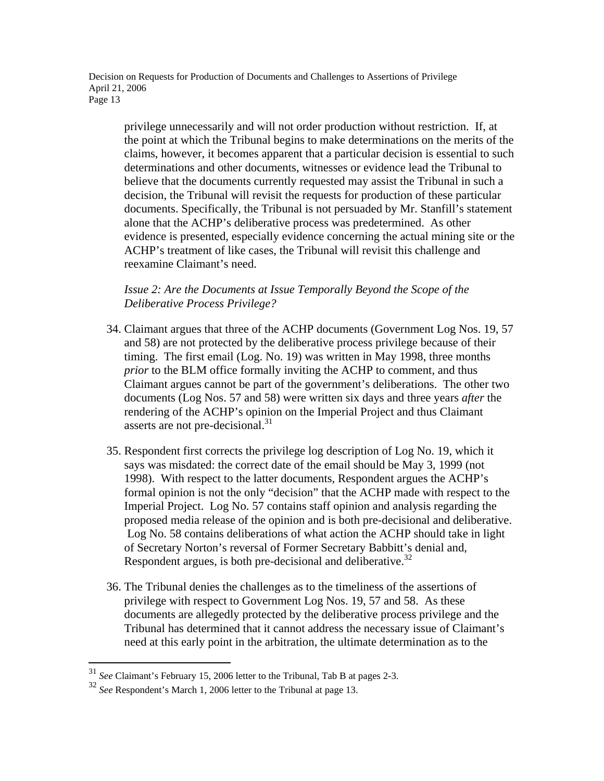privilege unnecessarily and will not order production without restriction. If, at the point at which the Tribunal begins to make determinations on the merits of the claims, however, it becomes apparent that a particular decision is essential to such determinations and other documents, witnesses or evidence lead the Tribunal to believe that the documents currently requested may assist the Tribunal in such a decision, the Tribunal will revisit the requests for production of these particular documents. Specifically, the Tribunal is not persuaded by Mr. Stanfill's statement alone that the ACHP's deliberative process was predetermined. As other evidence is presented, especially evidence concerning the actual mining site or the ACHP's treatment of like cases, the Tribunal will revisit this challenge and reexamine Claimant's need.

*Issue 2: Are the Documents at Issue Temporally Beyond the Scope of the Deliberative Process Privilege?* 

- 34. Claimant argues that three of the ACHP documents (Government Log Nos. 19, 57 and 58) are not protected by the deliberative process privilege because of their timing. The first email (Log. No. 19) was written in May 1998, three months *prior* to the BLM office formally inviting the ACHP to comment, and thus Claimant argues cannot be part of the government's deliberations. The other two documents (Log Nos. 57 and 58) were written six days and three years *after* the rendering of the ACHP's opinion on the Imperial Project and thus Claimant asserts are not pre-decisional.<sup>31</sup>
- 35. Respondent first corrects the privilege log description of Log No. 19, which it says was misdated: the correct date of the email should be May 3, 1999 (not 1998). With respect to the latter documents, Respondent argues the ACHP's formal opinion is not the only "decision" that the ACHP made with respect to the Imperial Project. Log No. 57 contains staff opinion and analysis regarding the proposed media release of the opinion and is both pre-decisional and deliberative. Log No. 58 contains deliberations of what action the ACHP should take in light of Secretary Norton's reversal of Former Secretary Babbitt's denial and, Respondent argues, is both pre-decisional and deliberative.<sup>32</sup>
- 36. The Tribunal denies the challenges as to the timeliness of the assertions of privilege with respect to Government Log Nos. 19, 57 and 58. As these documents are allegedly protected by the deliberative process privilege and the Tribunal has determined that it cannot address the necessary issue of Claimant's need at this early point in the arbitration, the ultimate determination as to the

<sup>31</sup> *See* Claimant's February 15, 2006 letter to the Tribunal, Tab B at pages 2-3.

<sup>32</sup> *See* Respondent's March 1, 2006 letter to the Tribunal at page 13.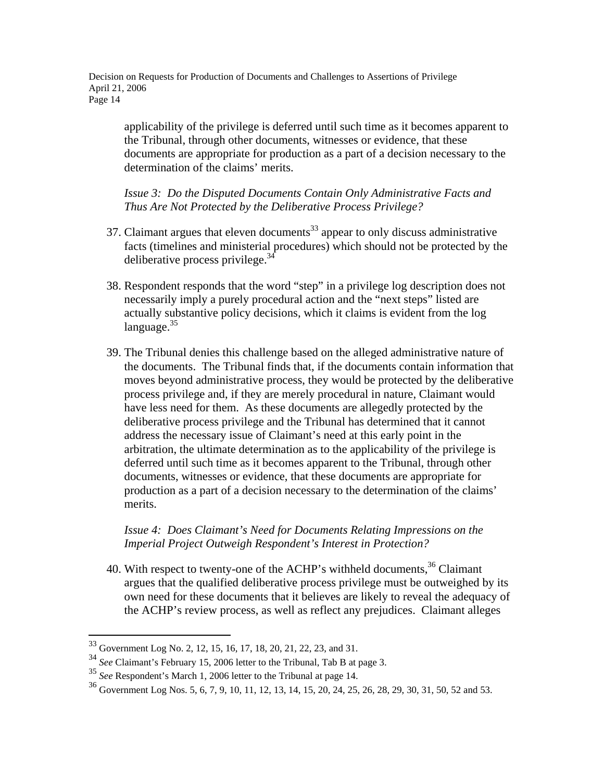applicability of the privilege is deferred until such time as it becomes apparent to the Tribunal, through other documents, witnesses or evidence, that these documents are appropriate for production as a part of a decision necessary to the determination of the claims' merits.

*Issue 3: Do the Disputed Documents Contain Only Administrative Facts and Thus Are Not Protected by the Deliberative Process Privilege?* 

- 37. Claimant argues that eleven documents<sup>33</sup> appear to only discuss administrative facts (timelines and ministerial procedures) which should not be protected by the deliberative process privilege.<sup>34</sup>
- 38. Respondent responds that the word "step" in a privilege log description does not necessarily imply a purely procedural action and the "next steps" listed are actually substantive policy decisions, which it claims is evident from the log language.<sup>35</sup>
- 39. The Tribunal denies this challenge based on the alleged administrative nature of the documents. The Tribunal finds that, if the documents contain information that moves beyond administrative process, they would be protected by the deliberative process privilege and, if they are merely procedural in nature, Claimant would have less need for them. As these documents are allegedly protected by the deliberative process privilege and the Tribunal has determined that it cannot address the necessary issue of Claimant's need at this early point in the arbitration, the ultimate determination as to the applicability of the privilege is deferred until such time as it becomes apparent to the Tribunal, through other documents, witnesses or evidence, that these documents are appropriate for production as a part of a decision necessary to the determination of the claims' merits.

## *Issue 4: Does Claimant's Need for Documents Relating Impressions on the Imperial Project Outweigh Respondent's Interest in Protection?*

40. With respect to twenty-one of the ACHP's withheld documents,  $36$  Claimant argues that the qualified deliberative process privilege must be outweighed by its own need for these documents that it believes are likely to reveal the adequacy of the ACHP's review process, as well as reflect any prejudices. Claimant alleges

 $33$  Government Log No. 2, 12, 15, 16, 17, 18, 20, 21, 22, 23, and 31.

<sup>34</sup> *See* Claimant's February 15, 2006 letter to the Tribunal, Tab B at page 3.

<sup>&</sup>lt;sup>35</sup> See Respondent's March 1, 2006 letter to the Tribunal at page 14.

<sup>36</sup> Government Log Nos. 5, 6, 7, 9, 10, 11, 12, 13, 14, 15, 20, 24, 25, 26, 28, 29, 30, 31, 50, 52 and 53.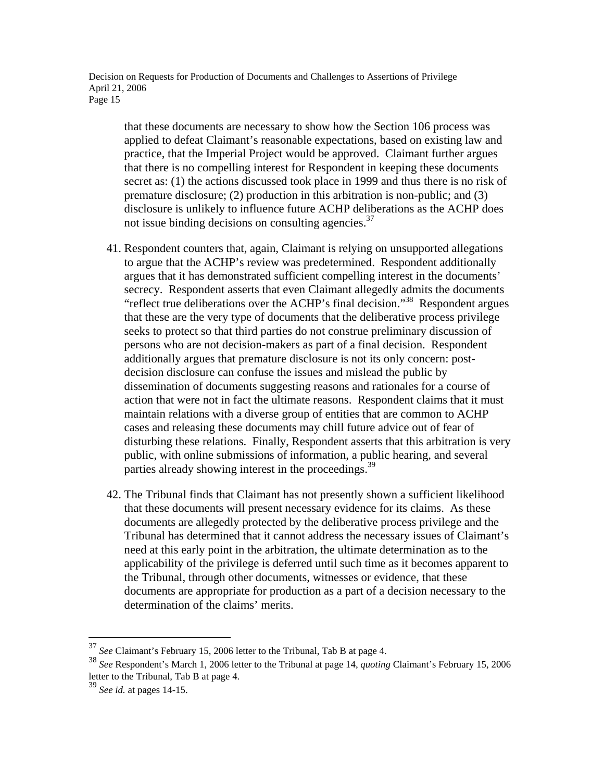that these documents are necessary to show how the Section 106 process was applied to defeat Claimant's reasonable expectations, based on existing law and practice, that the Imperial Project would be approved. Claimant further argues that there is no compelling interest for Respondent in keeping these documents secret as: (1) the actions discussed took place in 1999 and thus there is no risk of premature disclosure; (2) production in this arbitration is non-public; and (3) disclosure is unlikely to influence future ACHP deliberations as the ACHP does not issue binding decisions on consulting agencies. $37$ 

- 41. Respondent counters that, again, Claimant is relying on unsupported allegations to argue that the ACHP's review was predetermined. Respondent additionally argues that it has demonstrated sufficient compelling interest in the documents' secrecy. Respondent asserts that even Claimant allegedly admits the documents "reflect true deliberations over the ACHP's final decision."38 Respondent argues that these are the very type of documents that the deliberative process privilege seeks to protect so that third parties do not construe preliminary discussion of persons who are not decision-makers as part of a final decision. Respondent additionally argues that premature disclosure is not its only concern: postdecision disclosure can confuse the issues and mislead the public by dissemination of documents suggesting reasons and rationales for a course of action that were not in fact the ultimate reasons. Respondent claims that it must maintain relations with a diverse group of entities that are common to ACHP cases and releasing these documents may chill future advice out of fear of disturbing these relations. Finally, Respondent asserts that this arbitration is very public, with online submissions of information, a public hearing, and several parties already showing interest in the proceedings.<sup>39</sup>
- 42. The Tribunal finds that Claimant has not presently shown a sufficient likelihood that these documents will present necessary evidence for its claims. As these documents are allegedly protected by the deliberative process privilege and the Tribunal has determined that it cannot address the necessary issues of Claimant's need at this early point in the arbitration, the ultimate determination as to the applicability of the privilege is deferred until such time as it becomes apparent to the Tribunal, through other documents, witnesses or evidence, that these documents are appropriate for production as a part of a decision necessary to the determination of the claims' merits.

1

<sup>37</sup> *See* Claimant's February 15, 2006 letter to the Tribunal, Tab B at page 4.

<sup>38</sup> *See* Respondent's March 1, 2006 letter to the Tribunal at page 14, *quoting* Claimant's February 15, 2006 letter to the Tribunal, Tab B at page 4.

<sup>39</sup> *See id.* at pages 14-15.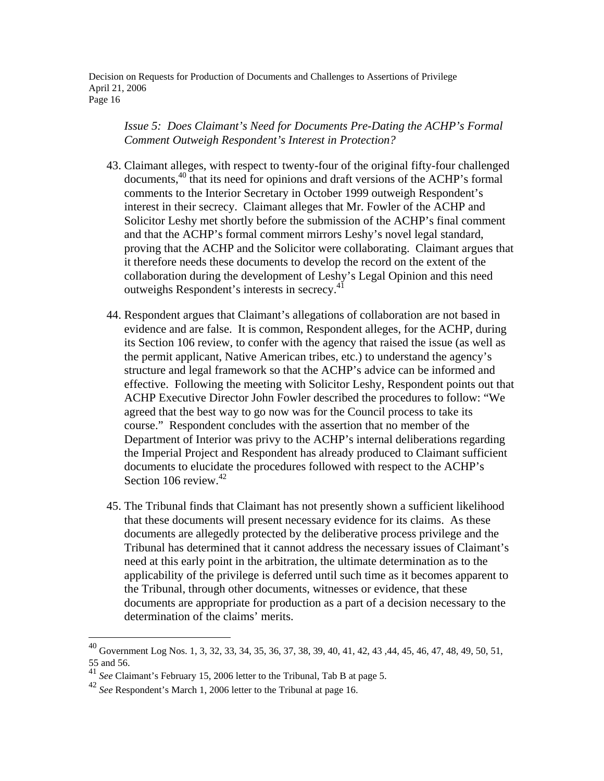*Issue 5: Does Claimant's Need for Documents Pre-Dating the ACHP's Formal Comment Outweigh Respondent's Interest in Protection?* 

- 43. Claimant alleges, with respect to twenty-four of the original fifty-four challenged documents,40 that its need for opinions and draft versions of the ACHP's formal comments to the Interior Secretary in October 1999 outweigh Respondent's interest in their secrecy. Claimant alleges that Mr. Fowler of the ACHP and Solicitor Leshy met shortly before the submission of the ACHP's final comment and that the ACHP's formal comment mirrors Leshy's novel legal standard, proving that the ACHP and the Solicitor were collaborating. Claimant argues that it therefore needs these documents to develop the record on the extent of the collaboration during the development of Leshy's Legal Opinion and this need outweighs Respondent's interests in secrecy.<sup>41</sup>
- 44. Respondent argues that Claimant's allegations of collaboration are not based in evidence and are false. It is common, Respondent alleges, for the ACHP, during its Section 106 review, to confer with the agency that raised the issue (as well as the permit applicant, Native American tribes, etc.) to understand the agency's structure and legal framework so that the ACHP's advice can be informed and effective. Following the meeting with Solicitor Leshy, Respondent points out that ACHP Executive Director John Fowler described the procedures to follow: "We agreed that the best way to go now was for the Council process to take its course." Respondent concludes with the assertion that no member of the Department of Interior was privy to the ACHP's internal deliberations regarding the Imperial Project and Respondent has already produced to Claimant sufficient documents to elucidate the procedures followed with respect to the ACHP's Section 106 review. $42$
- 45. The Tribunal finds that Claimant has not presently shown a sufficient likelihood that these documents will present necessary evidence for its claims. As these documents are allegedly protected by the deliberative process privilege and the Tribunal has determined that it cannot address the necessary issues of Claimant's need at this early point in the arbitration, the ultimate determination as to the applicability of the privilege is deferred until such time as it becomes apparent to the Tribunal, through other documents, witnesses or evidence, that these documents are appropriate for production as a part of a decision necessary to the determination of the claims' merits.

 $^{40}$  Government Log Nos. 1, 3, 32, 33, 34, 35, 36, 37, 38, 39, 40, 41, 42, 43, 44, 45, 46, 47, 48, 49, 50, 51, 55 and 56.

<sup>41</sup> *See* Claimant's February 15, 2006 letter to the Tribunal, Tab B at page 5.

<sup>42</sup> *See* Respondent's March 1, 2006 letter to the Tribunal at page 16.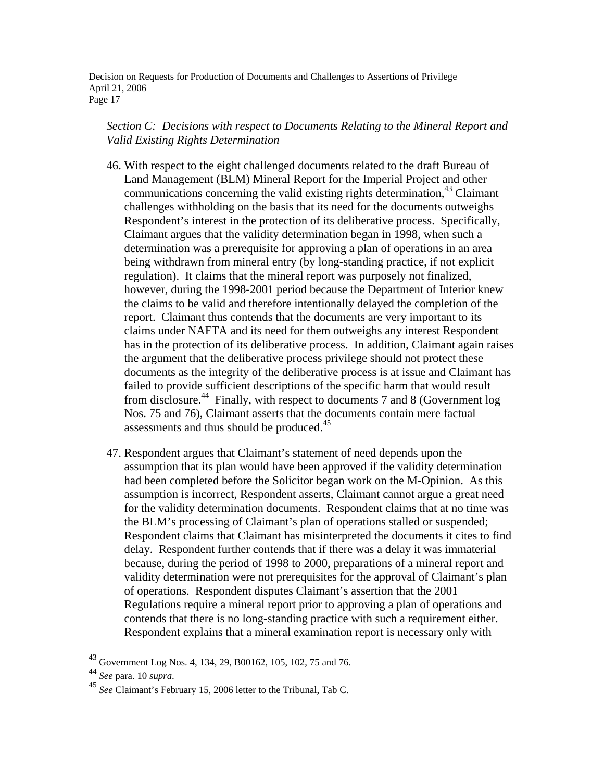## *Section C: Decisions with respect to Documents Relating to the Mineral Report and Valid Existing Rights Determination*

- 46. With respect to the eight challenged documents related to the draft Bureau of Land Management (BLM) Mineral Report for the Imperial Project and other communications concerning the valid existing rights determination,<sup>43</sup> Claimant challenges withholding on the basis that its need for the documents outweighs Respondent's interest in the protection of its deliberative process. Specifically, Claimant argues that the validity determination began in 1998, when such a determination was a prerequisite for approving a plan of operations in an area being withdrawn from mineral entry (by long-standing practice, if not explicit regulation). It claims that the mineral report was purposely not finalized, however, during the 1998-2001 period because the Department of Interior knew the claims to be valid and therefore intentionally delayed the completion of the report. Claimant thus contends that the documents are very important to its claims under NAFTA and its need for them outweighs any interest Respondent has in the protection of its deliberative process. In addition, Claimant again raises the argument that the deliberative process privilege should not protect these documents as the integrity of the deliberative process is at issue and Claimant has failed to provide sufficient descriptions of the specific harm that would result from disclosure.44 Finally, with respect to documents 7 and 8 (Government log Nos. 75 and 76), Claimant asserts that the documents contain mere factual assessments and thus should be produced.<sup>45</sup>
- 47. Respondent argues that Claimant's statement of need depends upon the assumption that its plan would have been approved if the validity determination had been completed before the Solicitor began work on the M-Opinion. As this assumption is incorrect, Respondent asserts, Claimant cannot argue a great need for the validity determination documents. Respondent claims that at no time was the BLM's processing of Claimant's plan of operations stalled or suspended; Respondent claims that Claimant has misinterpreted the documents it cites to find delay. Respondent further contends that if there was a delay it was immaterial because, during the period of 1998 to 2000, preparations of a mineral report and validity determination were not prerequisites for the approval of Claimant's plan of operations. Respondent disputes Claimant's assertion that the 2001 Regulations require a mineral report prior to approving a plan of operations and contends that there is no long-standing practice with such a requirement either. Respondent explains that a mineral examination report is necessary only with

<sup>&</sup>lt;sup>43</sup> Government Log Nos. 4, 134, 29, B00162, 105, 102, 75 and 76.<br><sup>44</sup> See para. 10 supra.

<sup>&</sup>lt;sup>45</sup> See Claimant's February 15, 2006 letter to the Tribunal, Tab C.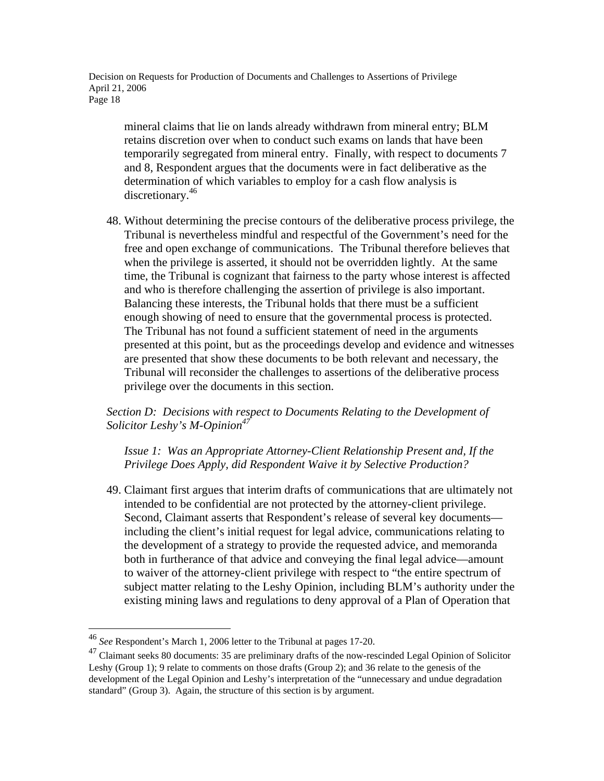mineral claims that lie on lands already withdrawn from mineral entry; BLM retains discretion over when to conduct such exams on lands that have been temporarily segregated from mineral entry. Finally, with respect to documents 7 and 8, Respondent argues that the documents were in fact deliberative as the determination of which variables to employ for a cash flow analysis is discretionary.46

48. Without determining the precise contours of the deliberative process privilege, the Tribunal is nevertheless mindful and respectful of the Government's need for the free and open exchange of communications. The Tribunal therefore believes that when the privilege is asserted, it should not be overridden lightly. At the same time, the Tribunal is cognizant that fairness to the party whose interest is affected and who is therefore challenging the assertion of privilege is also important. Balancing these interests, the Tribunal holds that there must be a sufficient enough showing of need to ensure that the governmental process is protected. The Tribunal has not found a sufficient statement of need in the arguments presented at this point, but as the proceedings develop and evidence and witnesses are presented that show these documents to be both relevant and necessary, the Tribunal will reconsider the challenges to assertions of the deliberative process privilege over the documents in this section.

*Section D: Decisions with respect to Documents Relating to the Development of Solicitor Leshy's M-Opinion47*

*Issue 1: Was an Appropriate Attorney-Client Relationship Present and, If the Privilege Does Apply, did Respondent Waive it by Selective Production?* 

49. Claimant first argues that interim drafts of communications that are ultimately not intended to be confidential are not protected by the attorney-client privilege. Second, Claimant asserts that Respondent's release of several key documents including the client's initial request for legal advice, communications relating to the development of a strategy to provide the requested advice, and memoranda both in furtherance of that advice and conveying the final legal advice—amount to waiver of the attorney-client privilege with respect to "the entire spectrum of subject matter relating to the Leshy Opinion, including BLM's authority under the existing mining laws and regulations to deny approval of a Plan of Operation that

<sup>46</sup> *See* Respondent's March 1, 2006 letter to the Tribunal at pages 17-20.

<sup>&</sup>lt;sup>47</sup> Claimant seeks 80 documents: 35 are preliminary drafts of the now-rescinded Legal Opinion of Solicitor Leshy (Group 1); 9 relate to comments on those drafts (Group 2); and 36 relate to the genesis of the development of the Legal Opinion and Leshy's interpretation of the "unnecessary and undue degradation standard" (Group 3). Again, the structure of this section is by argument.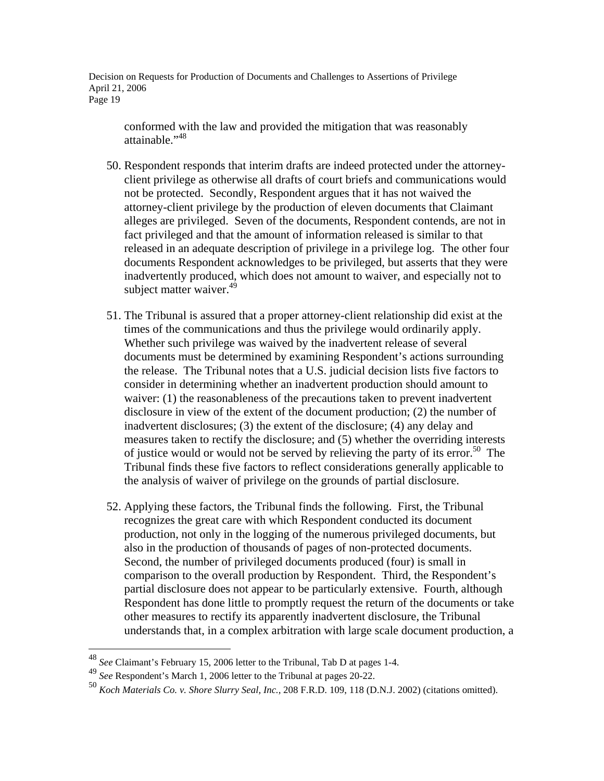conformed with the law and provided the mitigation that was reasonably attainable."<sup>48</sup>

- 50. Respondent responds that interim drafts are indeed protected under the attorneyclient privilege as otherwise all drafts of court briefs and communications would not be protected. Secondly, Respondent argues that it has not waived the attorney-client privilege by the production of eleven documents that Claimant alleges are privileged. Seven of the documents, Respondent contends, are not in fact privileged and that the amount of information released is similar to that released in an adequate description of privilege in a privilege log. The other four documents Respondent acknowledges to be privileged, but asserts that they were inadvertently produced, which does not amount to waiver, and especially not to subject matter waiver.<sup>49</sup>
- 51. The Tribunal is assured that a proper attorney-client relationship did exist at the times of the communications and thus the privilege would ordinarily apply. Whether such privilege was waived by the inadvertent release of several documents must be determined by examining Respondent's actions surrounding the release. The Tribunal notes that a U.S. judicial decision lists five factors to consider in determining whether an inadvertent production should amount to waiver: (1) the reasonableness of the precautions taken to prevent inadvertent disclosure in view of the extent of the document production; (2) the number of inadvertent disclosures; (3) the extent of the disclosure; (4) any delay and measures taken to rectify the disclosure; and (5) whether the overriding interests of justice would or would not be served by relieving the party of its error.<sup>50</sup> The Tribunal finds these five factors to reflect considerations generally applicable to the analysis of waiver of privilege on the grounds of partial disclosure.
- 52. Applying these factors, the Tribunal finds the following. First, the Tribunal recognizes the great care with which Respondent conducted its document production, not only in the logging of the numerous privileged documents, but also in the production of thousands of pages of non-protected documents. Second, the number of privileged documents produced (four) is small in comparison to the overall production by Respondent. Third, the Respondent's partial disclosure does not appear to be particularly extensive. Fourth, although Respondent has done little to promptly request the return of the documents or take other measures to rectify its apparently inadvertent disclosure, the Tribunal understands that, in a complex arbitration with large scale document production, a

<sup>48</sup> *See* Claimant's February 15, 2006 letter to the Tribunal, Tab D at pages 1-4.

<sup>49</sup> *See* Respondent's March 1, 2006 letter to the Tribunal at pages 20-22.

<sup>50</sup> *Koch Materials Co. v. Shore Slurry Seal, Inc.,* 208 F.R.D. 109, 118 (D.N.J. 2002) (citations omitted).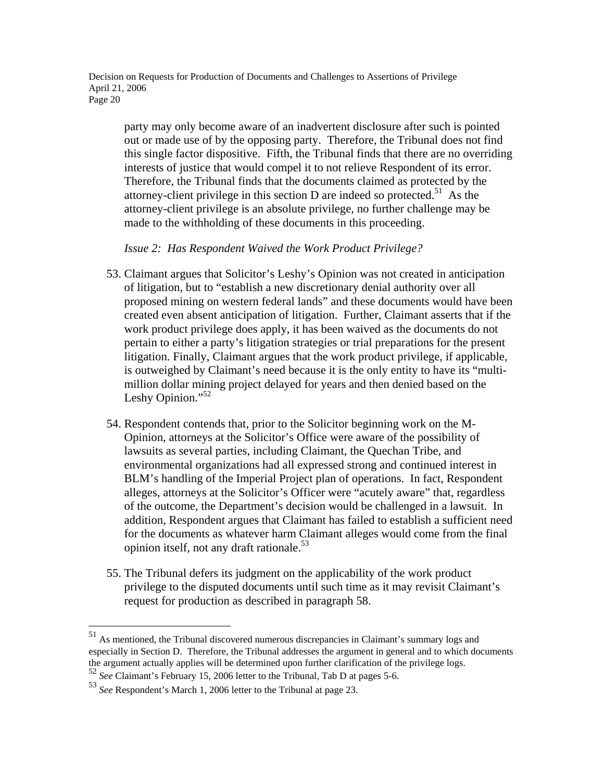party may only become aware of an inadvertent disclosure after such is pointed out or made use of by the opposing party. Therefore, the Tribunal does not find this single factor dispositive. Fifth, the Tribunal finds that there are no overriding interests of justice that would compel it to not relieve Respondent of its error. Therefore, the Tribunal finds that the documents claimed as protected by the attorney-client privilege in this section  $D$  are indeed so protected.<sup>51</sup> As the attorney-client privilege is an absolute privilege, no further challenge may be made to the withholding of these documents in this proceeding.

*Issue 2: Has Respondent Waived the Work Product Privilege?* 

- 53. Claimant argues that Solicitor's Leshy's Opinion was not created in anticipation of litigation, but to "establish a new discretionary denial authority over all proposed mining on western federal lands" and these documents would have been created even absent anticipation of litigation. Further, Claimant asserts that if the work product privilege does apply, it has been waived as the documents do not pertain to either a party's litigation strategies or trial preparations for the present litigation. Finally, Claimant argues that the work product privilege, if applicable, is outweighed by Claimant's need because it is the only entity to have its "multimillion dollar mining project delayed for years and then denied based on the Leshy Opinion."<sup>52</sup>
- 54. Respondent contends that, prior to the Solicitor beginning work on the M-Opinion, attorneys at the Solicitor's Office were aware of the possibility of lawsuits as several parties, including Claimant, the Quechan Tribe, and environmental organizations had all expressed strong and continued interest in BLM's handling of the Imperial Project plan of operations. In fact, Respondent alleges, attorneys at the Solicitor's Officer were "acutely aware" that, regardless of the outcome, the Department's decision would be challenged in a lawsuit. In addition, Respondent argues that Claimant has failed to establish a sufficient need for the documents as whatever harm Claimant alleges would come from the final opinion itself, not any draft rationale. $53$
- 55. The Tribunal defers its judgment on the applicability of the work product privilege to the disputed documents until such time as it may revisit Claimant's request for production as described in paragraph 58.

<u>.</u>

<sup>&</sup>lt;sup>51</sup> As mentioned, the Tribunal discovered numerous discrepancies in Claimant's summary logs and especially in Section D. Therefore, the Tribunal addresses the argument in general and to which documents the argument actually applies will be determined upon further clarification of the privilege logs.

<sup>52</sup> *See* Claimant's February 15, 2006 letter to the Tribunal, Tab D at pages 5-6.

<sup>53</sup> *See* Respondent's March 1, 2006 letter to the Tribunal at page 23.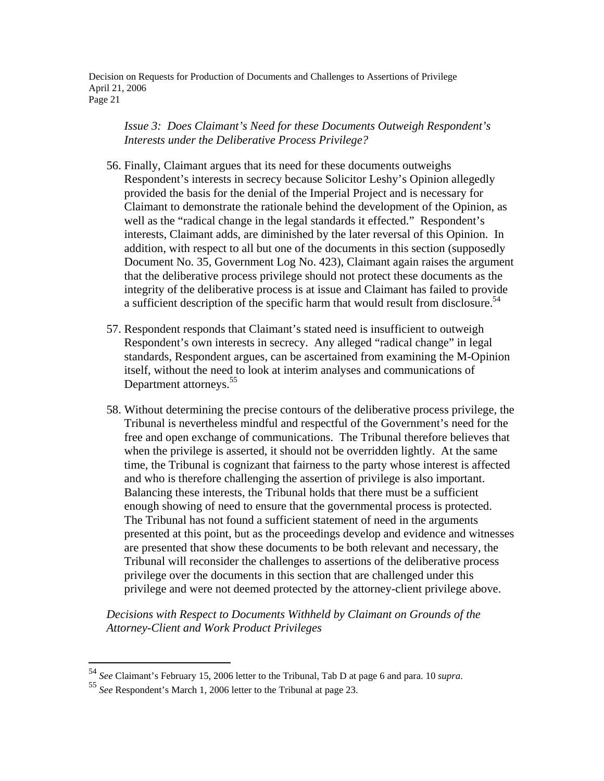*Issue 3: Does Claimant's Need for these Documents Outweigh Respondent's Interests under the Deliberative Process Privilege?* 

- 56. Finally, Claimant argues that its need for these documents outweighs Respondent's interests in secrecy because Solicitor Leshy's Opinion allegedly provided the basis for the denial of the Imperial Project and is necessary for Claimant to demonstrate the rationale behind the development of the Opinion, as well as the "radical change in the legal standards it effected." Respondent's interests, Claimant adds, are diminished by the later reversal of this Opinion. In addition, with respect to all but one of the documents in this section (supposedly Document No. 35, Government Log No. 423), Claimant again raises the argument that the deliberative process privilege should not protect these documents as the integrity of the deliberative process is at issue and Claimant has failed to provide a sufficient description of the specific harm that would result from disclosure.<sup>54</sup>
- 57. Respondent responds that Claimant's stated need is insufficient to outweigh Respondent's own interests in secrecy. Any alleged "radical change" in legal standards, Respondent argues, can be ascertained from examining the M-Opinion itself, without the need to look at interim analyses and communications of Department attorneys.<sup>55</sup>
- 58. Without determining the precise contours of the deliberative process privilege, the Tribunal is nevertheless mindful and respectful of the Government's need for the free and open exchange of communications. The Tribunal therefore believes that when the privilege is asserted, it should not be overridden lightly. At the same time, the Tribunal is cognizant that fairness to the party whose interest is affected and who is therefore challenging the assertion of privilege is also important. Balancing these interests, the Tribunal holds that there must be a sufficient enough showing of need to ensure that the governmental process is protected. The Tribunal has not found a sufficient statement of need in the arguments presented at this point, but as the proceedings develop and evidence and witnesses are presented that show these documents to be both relevant and necessary, the Tribunal will reconsider the challenges to assertions of the deliberative process privilege over the documents in this section that are challenged under this privilege and were not deemed protected by the attorney-client privilege above.

*Decisions with Respect to Documents Withheld by Claimant on Grounds of the Attorney-Client and Work Product Privileges* 

<sup>54</sup> *See* Claimant's February 15, 2006 letter to the Tribunal, Tab D at page 6 and para. 10 *supra*. 55 *See* Respondent's March 1, 2006 letter to the Tribunal at page 23.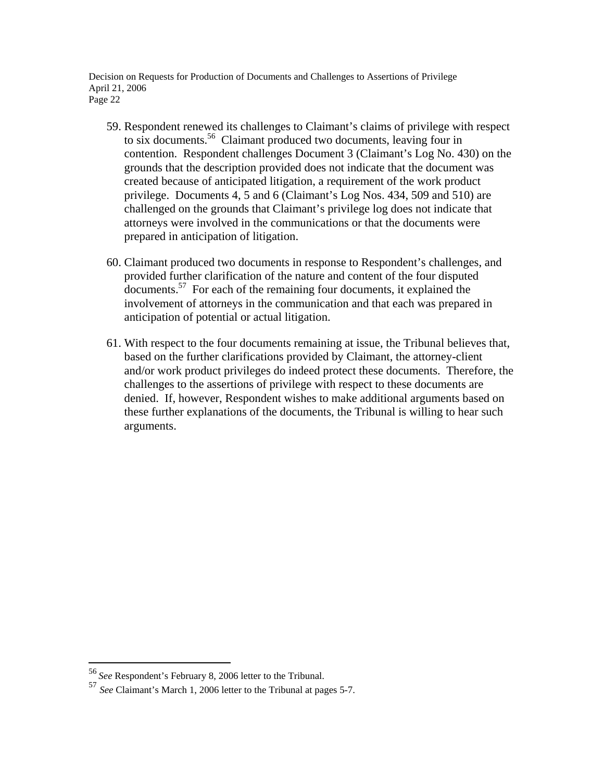- 59. Respondent renewed its challenges to Claimant's claims of privilege with respect to six documents.56 Claimant produced two documents, leaving four in contention. Respondent challenges Document 3 (Claimant's Log No. 430) on the grounds that the description provided does not indicate that the document was created because of anticipated litigation, a requirement of the work product privilege. Documents 4, 5 and 6 (Claimant's Log Nos. 434, 509 and 510) are challenged on the grounds that Claimant's privilege log does not indicate that attorneys were involved in the communications or that the documents were prepared in anticipation of litigation.
- 60. Claimant produced two documents in response to Respondent's challenges, and provided further clarification of the nature and content of the four disputed documents.57 For each of the remaining four documents, it explained the involvement of attorneys in the communication and that each was prepared in anticipation of potential or actual litigation.
- 61. With respect to the four documents remaining at issue, the Tribunal believes that, based on the further clarifications provided by Claimant, the attorney-client and/or work product privileges do indeed protect these documents. Therefore, the challenges to the assertions of privilege with respect to these documents are denied. If, however, Respondent wishes to make additional arguments based on these further explanations of the documents, the Tribunal is willing to hear such arguments.

<sup>56</sup>*See* Respondent's February 8, 2006 letter to the Tribunal.

<sup>57</sup> *See* Claimant's March 1, 2006 letter to the Tribunal at pages 5-7.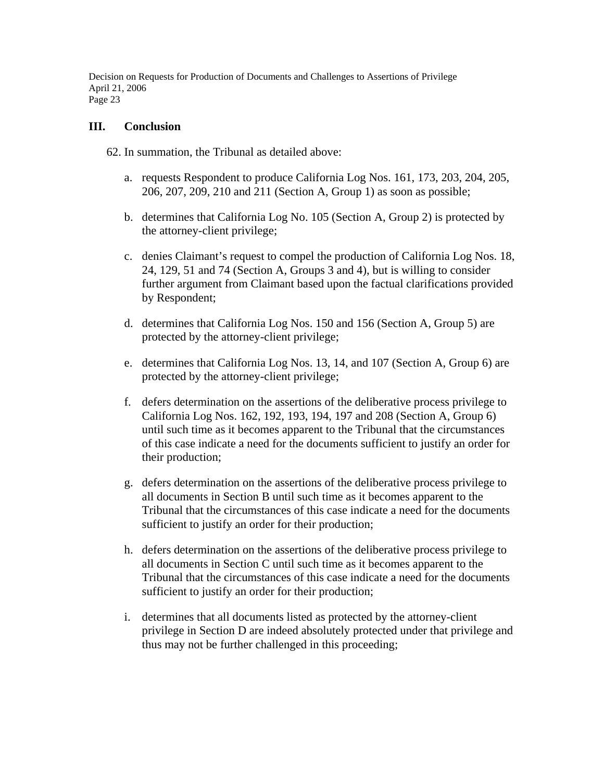#### **III. Conclusion**

62. In summation, the Tribunal as detailed above:

- a. requests Respondent to produce California Log Nos. 161, 173, 203, 204, 205, 206, 207, 209, 210 and 211 (Section A, Group 1) as soon as possible;
- b. determines that California Log No. 105 (Section A, Group 2) is protected by the attorney-client privilege;
- c. denies Claimant's request to compel the production of California Log Nos. 18, 24, 129, 51 and 74 (Section A, Groups 3 and 4), but is willing to consider further argument from Claimant based upon the factual clarifications provided by Respondent;
- d. determines that California Log Nos. 150 and 156 (Section A, Group 5) are protected by the attorney-client privilege;
- e. determines that California Log Nos. 13, 14, and 107 (Section A, Group 6) are protected by the attorney-client privilege;
- f. defers determination on the assertions of the deliberative process privilege to California Log Nos. 162, 192, 193, 194, 197 and 208 (Section A, Group 6) until such time as it becomes apparent to the Tribunal that the circumstances of this case indicate a need for the documents sufficient to justify an order for their production;
- g. defers determination on the assertions of the deliberative process privilege to all documents in Section B until such time as it becomes apparent to the Tribunal that the circumstances of this case indicate a need for the documents sufficient to justify an order for their production;
- h. defers determination on the assertions of the deliberative process privilege to all documents in Section C until such time as it becomes apparent to the Tribunal that the circumstances of this case indicate a need for the documents sufficient to justify an order for their production;
- i. determines that all documents listed as protected by the attorney-client privilege in Section D are indeed absolutely protected under that privilege and thus may not be further challenged in this proceeding;